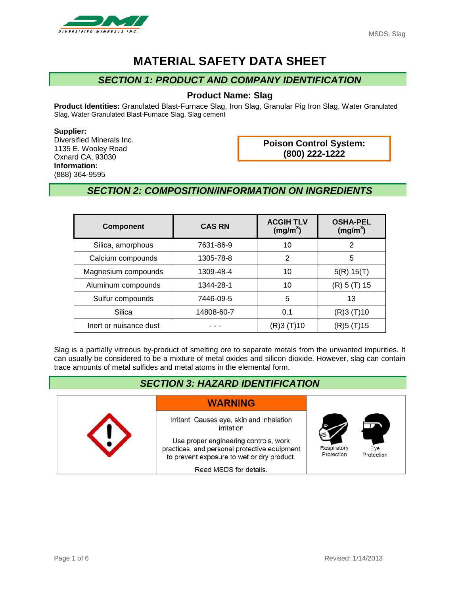

# **MATERIAL SAFETY DATA SHEET**

## *SECTION 1: PRODUCT AND COMPANY IDENTIFICATION*

#### **Product Name: Slag**

**Product Identities:** Granulated Blast-Furnace Slag, Iron Slag, Granular Pig Iron Slag, Water Granulated Slag, Water Granulated Blast-Furnace Slag, Slag cement

**Supplier:**

Diversified Minerals Inc. 1135 E. Wooley Road Oxnard CA, 93030 **Information:** (888) 364-9595

**Poison Control System: (800) 222-1222**

## *SECTION 2: COMPOSITION/INFORMATION ON INGREDIENTS*

| <b>Component</b>       | <b>CAS RN</b> | <b>ACGIH TLV</b><br>(mg/m <sup>3</sup> ) | <b>OSHA-PEL</b><br>(mg/m <sup>3</sup> ) |
|------------------------|---------------|------------------------------------------|-----------------------------------------|
| Silica, amorphous      | 7631-86-9     | 10                                       | 2                                       |
| Calcium compounds      | 1305-78-8     | 2                                        | 5                                       |
| Magnesium compounds    | 1309-48-4     | 10                                       | 5(R) 15(T)                              |
| Aluminum compounds     | 1344-28-1     | 10                                       | (R) 5 (T) 15                            |
| Sulfur compounds       | 7446-09-5     | 5                                        | 13                                      |
| Silica                 | 14808-60-7    | 0.1                                      | (R) 3 (T) 10                            |
| Inert or nuisance dust |               | (R)3 (T)10                               | (R)5 (T)15                              |

Slag is a partially vitreous by-product of smelting ore to separate metals from the unwanted impurities. It can usually be considered to be a mixture of metal oxides and silicon dioxide. However, slag can contain trace amounts of metal sulfides and metal atoms in the elemental form.

| <b>SECTION 3: HAZARD IDENTIFICATION</b> |                                                                                                                                                                                                                          |                           |                   |
|-----------------------------------------|--------------------------------------------------------------------------------------------------------------------------------------------------------------------------------------------------------------------------|---------------------------|-------------------|
|                                         | <b>WARNING</b>                                                                                                                                                                                                           |                           |                   |
|                                         | Irritant: Causes eye, skin and inhalation<br>irritation<br>Use proper engineering controls, work<br>practices, and personal protective equipment<br>to prevent exposure to wet or dry product.<br>Read MSDS for details. | Respiratory<br>Protection | Eve<br>Protection |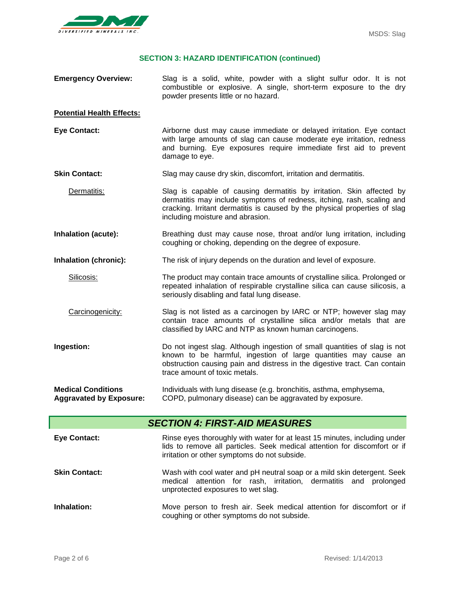

### **SECTION 3: HAZARD IDENTIFICATION (continued)**

| <b>Emergency Overview:</b>                                  | Slag is a solid, white, powder with a slight sulfur odor. It is not<br>combustible or explosive. A single, short-term exposure to the dry<br>powder presents little or no hazard.                                                                                 |  |
|-------------------------------------------------------------|-------------------------------------------------------------------------------------------------------------------------------------------------------------------------------------------------------------------------------------------------------------------|--|
| <b>Potential Health Effects:</b>                            |                                                                                                                                                                                                                                                                   |  |
| <b>Eye Contact:</b>                                         | Airborne dust may cause immediate or delayed irritation. Eye contact<br>with large amounts of slag can cause moderate eye irritation, redness<br>and burning. Eye exposures require immediate first aid to prevent<br>damage to eye.                              |  |
| <b>Skin Contact:</b>                                        | Slag may cause dry skin, discomfort, irritation and dermatitis.                                                                                                                                                                                                   |  |
| Dermatitis:                                                 | Slag is capable of causing dermatitis by irritation. Skin affected by<br>dermatitis may include symptoms of redness, itching, rash, scaling and<br>cracking. Irritant dermatitis is caused by the physical properties of slag<br>including moisture and abrasion. |  |
| Inhalation (acute):                                         | Breathing dust may cause nose, throat and/or lung irritation, including<br>coughing or choking, depending on the degree of exposure.                                                                                                                              |  |
| Inhalation (chronic):                                       | The risk of injury depends on the duration and level of exposure.                                                                                                                                                                                                 |  |
| Silicosis:                                                  | The product may contain trace amounts of crystalline silica. Prolonged or<br>repeated inhalation of respirable crystalline silica can cause silicosis, a<br>seriously disabling and fatal lung disease.                                                           |  |
| Carcinogenicity:                                            | Slag is not listed as a carcinogen by IARC or NTP; however slag may<br>contain trace amounts of crystalline silica and/or metals that are<br>classified by IARC and NTP as known human carcinogens.                                                               |  |
| Ingestion:                                                  | Do not ingest slag. Although ingestion of small quantities of slag is not<br>known to be harmful, ingestion of large quantities may cause an<br>obstruction causing pain and distress in the digestive tract. Can contain<br>trace amount of toxic metals.        |  |
| <b>Medical Conditions</b><br><b>Aggravated by Exposure:</b> | Individuals with lung disease (e.g. bronchitis, asthma, emphysema,<br>COPD, pulmonary disease) can be aggravated by exposure.                                                                                                                                     |  |
|                                                             | <b>SECTION 4: FIRST-AID MEASURES</b>                                                                                                                                                                                                                              |  |
| <b>Eye Contact:</b>                                         | Rinse eyes thoroughly with water for at least 15 minutes, including under<br>lids to remove all particles. Seek medical attention for discomfort or if<br>irritation or other symptoms do not subside.                                                            |  |
| <b>Skin Contact:</b>                                        | Wash with cool water and pH neutral soap or a mild skin detergent. Seek<br>medical attention for rash, irritation, dermatitis and prolonged<br>unprotected exposures to wet slag.                                                                                 |  |
| Inhalation:                                                 | Move person to fresh air. Seek medical attention for discomfort or if<br>coughing or other symptoms do not subside.                                                                                                                                               |  |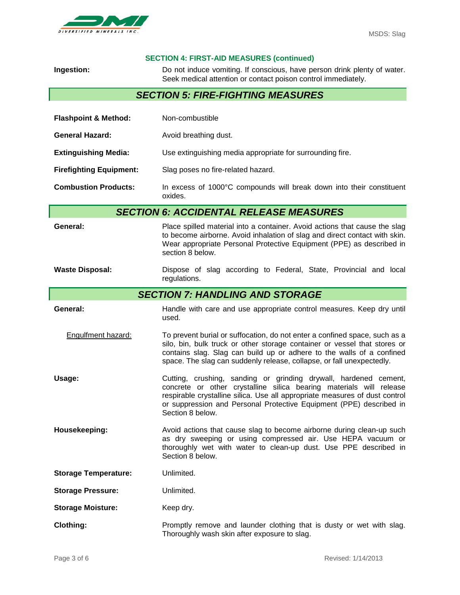

#### **SECTION 4: FIRST-AID MEASURES (continued)**

| Ingestion:                               | Do not induce vomiting. If conscious, have person drink plenty of water.<br>Seek medical attention or contact poison control immediately.                                                                                                                                                                         |  |  |
|------------------------------------------|-------------------------------------------------------------------------------------------------------------------------------------------------------------------------------------------------------------------------------------------------------------------------------------------------------------------|--|--|
| <b>SECTION 5: FIRE-FIGHTING MEASURES</b> |                                                                                                                                                                                                                                                                                                                   |  |  |
| <b>Flashpoint &amp; Method:</b>          | Non-combustible                                                                                                                                                                                                                                                                                                   |  |  |
| <b>General Hazard:</b>                   | Avoid breathing dust.                                                                                                                                                                                                                                                                                             |  |  |
| <b>Extinguishing Media:</b>              | Use extinguishing media appropriate for surrounding fire.                                                                                                                                                                                                                                                         |  |  |
| <b>Firefighting Equipment:</b>           | Slag poses no fire-related hazard.                                                                                                                                                                                                                                                                                |  |  |
| <b>Combustion Products:</b>              | In excess of 1000°C compounds will break down into their constituent<br>oxides.                                                                                                                                                                                                                                   |  |  |
|                                          | <b>SECTION 6: ACCIDENTAL RELEASE MEASURES</b>                                                                                                                                                                                                                                                                     |  |  |
| General:                                 | Place spilled material into a container. Avoid actions that cause the slag<br>to become airborne. Avoid inhalation of slag and direct contact with skin.<br>Wear appropriate Personal Protective Equipment (PPE) as described in<br>section 8 below.                                                              |  |  |
| <b>Waste Disposal:</b>                   | Dispose of slag according to Federal, State, Provincial and local<br>regulations.                                                                                                                                                                                                                                 |  |  |
| <b>SECTION 7: HANDLING AND STORAGE</b>   |                                                                                                                                                                                                                                                                                                                   |  |  |
| General:                                 | Handle with care and use appropriate control measures. Keep dry until<br>used.                                                                                                                                                                                                                                    |  |  |
| Engulfment hazard:                       | To prevent burial or suffocation, do not enter a confined space, such as a<br>silo, bin, bulk truck or other storage container or vessel that stores or<br>contains slag. Slag can build up or adhere to the walls of a confined<br>space. The slag can suddenly release, collapse, or fall unexpectedly.         |  |  |
| Usage:                                   | Cutting, crushing, sanding or grinding drywall, hardened cement,<br>concrete or other crystalline silica bearing materials will release<br>respirable crystalline silica. Use all appropriate measures of dust control<br>or suppression and Personal Protective Equipment (PPE) described in<br>Section 8 below. |  |  |
| Housekeeping:                            | Avoid actions that cause slag to become airborne during clean-up such<br>as dry sweeping or using compressed air. Use HEPA vacuum or<br>thoroughly wet with water to clean-up dust. Use PPE described in<br>Section 8 below.                                                                                      |  |  |
| <b>Storage Temperature:</b>              | Unlimited.                                                                                                                                                                                                                                                                                                        |  |  |
| <b>Storage Pressure:</b>                 | Unlimited.                                                                                                                                                                                                                                                                                                        |  |  |
| <b>Storage Moisture:</b>                 | Keep dry.                                                                                                                                                                                                                                                                                                         |  |  |
| <b>Clothing:</b>                         | Promptly remove and launder clothing that is dusty or wet with slag.<br>Thoroughly wash skin after exposure to slag.                                                                                                                                                                                              |  |  |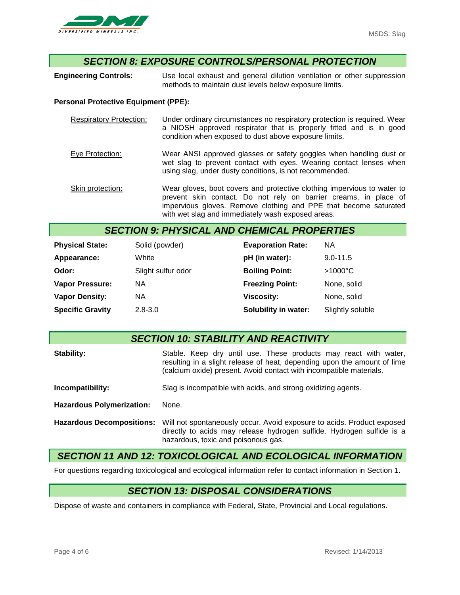

### *SECTION 8: EXPOSURE CONTROLS/PERSONAL PROTECTION*

**Engineering Controls:** Use local exhaust and general dilution ventilation or other suppression methods to maintain dust levels below exposure limits.

#### **Personal Protective Equipment (PPE):**

| <b>Respiratory Protection:</b> | Under ordinary circumstances no respiratory protection is required. Wear<br>a NIOSH approved respirator that is properly fitted and is in good<br>condition when exposed to dust above exposure limits. |
|--------------------------------|---------------------------------------------------------------------------------------------------------------------------------------------------------------------------------------------------------|
| Eye Protection:                | Wear ANSI approved glasses or safety goggles when handling dust or<br>wet slag to prevent contact with eyes. Wearing contact lenses when<br>using slag, under dusty conditions, is not recommended.     |
| Skin protection:               | Wear gloves, boot covers and protective clothing impervious to water to                                                                                                                                 |

prevent skin contact. Do not rely on barrier creams, in place of impervious gloves. Remove clothing and PPE that become saturated with wet slag and immediately wash exposed areas.

### *SECTION 9: PHYSICAL AND CHEMICAL PROPERTIES*

| <b>Physical State:</b>  | Solid (powder)     | <b>Evaporation Rate:</b> | <b>NA</b>         |
|-------------------------|--------------------|--------------------------|-------------------|
| Appearance:             | White              | pH (in water):           | $9.0 - 11.5$      |
| Odor:                   | Slight sulfur odor | <b>Boiling Point:</b>    | $>1000^{\circ}$ C |
| <b>Vapor Pressure:</b>  | NА                 | <b>Freezing Point:</b>   | None, solid       |
| <b>Vapor Density:</b>   | NА                 | <b>Viscosity:</b>        | None, solid       |
| <b>Specific Gravity</b> | $2.8 - 3.0$        | Solubility in water:     | Slightly soluble  |

### *SECTION 10: STABILITY AND REACTIVITY*

| Stability:                       | Stable. Keep dry until use. These products may react with water,<br>resulting in a slight release of heat, depending upon the amount of lime<br>(calcium oxide) present. Avoid contact with incompatible materials. |  |  |
|----------------------------------|---------------------------------------------------------------------------------------------------------------------------------------------------------------------------------------------------------------------|--|--|
| Incompatibility:                 | Slag is incompatible with acids, and strong oxidizing agents.                                                                                                                                                       |  |  |
| <b>Hazardous Polymerization:</b> | None.                                                                                                                                                                                                               |  |  |
| <b>Hazardous Decompositions:</b> | Will not spontaneously occur. Avoid exposure to acids. Product exposed<br>directly to acids may release hydrogen sulfide. Hydrogen sulfide is a<br>hazardous, toxic and poisonous gas.                              |  |  |

#### *SECTION 11 AND 12: TOXICOLOGICAL AND ECOLOGICAL INFORMATION*

For questions regarding toxicological and ecological information refer to contact information in Section 1.

### *SECTION 13: DISPOSAL CONSIDERATIONS*

Dispose of waste and containers in compliance with Federal, State, Provincial and Local regulations.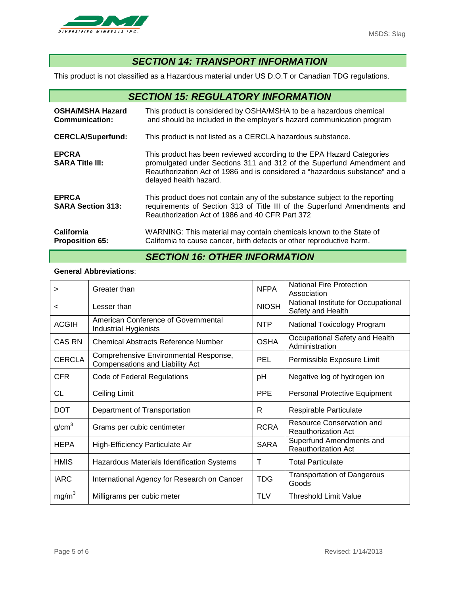

## *SECTION 14: TRANSPORT INFORMATION*

This product is not classified as a Hazardous material under US D.O.T or Canadian TDG regulations.

| <b>SECTION 15: REGULATORY INFORMATION</b>        |                                                                                                                                                                                                                                                         |  |  |
|--------------------------------------------------|---------------------------------------------------------------------------------------------------------------------------------------------------------------------------------------------------------------------------------------------------------|--|--|
| <b>OSHA/MSHA Hazard</b><br><b>Communication:</b> | This product is considered by OSHA/MSHA to be a hazardous chemical<br>and should be included in the employer's hazard communication program                                                                                                             |  |  |
| <b>CERCLA/Superfund:</b>                         | This product is not listed as a CERCLA hazardous substance.                                                                                                                                                                                             |  |  |
| <b>EPCRA</b><br><b>SARA Title III:</b>           | This product has been reviewed according to the EPA Hazard Categories<br>promulgated under Sections 311 and 312 of the Superfund Amendment and<br>Reauthorization Act of 1986 and is considered a "hazardous substance" and a<br>delayed health hazard. |  |  |
| <b>EPRCA</b><br><b>SARA Section 313:</b>         | This product does not contain any of the substance subject to the reporting<br>requirements of Section 313 of Title III of the Superfund Amendments and<br>Reauthorization Act of 1986 and 40 CFR Part 372                                              |  |  |
| California<br><b>Proposition 65:</b>             | WARNING: This material may contain chemicals known to the State of<br>California to cause cancer, birth defects or other reproductive harm.                                                                                                             |  |  |

## *SECTION 16: OTHER INFORMATION*

#### **General Abbreviations**:

| >                 | Greater than                                                             | <b>NFPA</b>  | <b>National Fire Protection</b><br>Association           |
|-------------------|--------------------------------------------------------------------------|--------------|----------------------------------------------------------|
| <                 | Lesser than                                                              | <b>NIOSH</b> | National Institute for Occupational<br>Safety and Health |
| <b>ACGIH</b>      | American Conference of Governmental<br><b>Industrial Hygienists</b>      | <b>NTP</b>   | National Toxicology Program                              |
| CAS RN            | <b>Chemical Abstracts Reference Number</b>                               | <b>OSHA</b>  | Occupational Safety and Health<br>Administration         |
| <b>CERCLA</b>     | Comprehensive Environmental Response,<br>Compensations and Liability Act | <b>PEL</b>   | Permissible Exposure Limit                               |
| <b>CFR</b>        | Code of Federal Regulations                                              | рH           | Negative log of hydrogen ion                             |
| CL                | <b>Ceiling Limit</b>                                                     | <b>PPE</b>   | Personal Protective Equipment                            |
| <b>DOT</b>        | Department of Transportation                                             | R            | Respirable Particulate                                   |
| g/cm <sup>3</sup> | Grams per cubic centimeter                                               | <b>RCRA</b>  | Resource Conservation and<br><b>Reauthorization Act</b>  |
| <b>HEPA</b>       | High-Efficiency Particulate Air                                          | <b>SARA</b>  | Superfund Amendments and<br><b>Reauthorization Act</b>   |
| <b>HMIS</b>       | Hazardous Materials Identification Systems                               | т            | <b>Total Particulate</b>                                 |
| <b>IARC</b>       | International Agency for Research on Cancer                              | <b>TDG</b>   | <b>Transportation of Dangerous</b><br>Goods              |
| mg/m <sup>3</sup> | Milligrams per cubic meter                                               | TLV          | <b>Threshold Limit Value</b>                             |